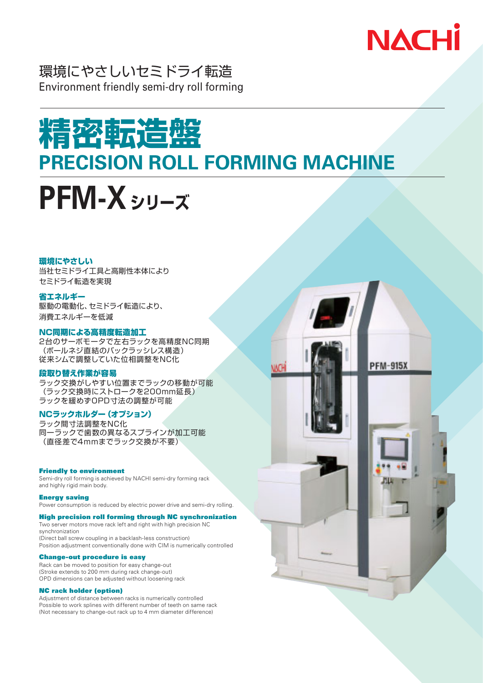

環境にやさしいセミドライ転造 Environment friendly semi-dry roll forming

# **精密転造盤 PRECISION ROLL FORMING MACHINE**



#### 環境にやさしい

当社セミドライ工具と高剛性本体により セミドライ転造を実現

#### 省エネルギー

駆動の電動化、セミドライ転造により、 消費エネルギーを低減

#### NC同期による高精度転造加工

2台のサーボモータで左右ラックを高精度NC同期 (ボールネジ直結のバックラッシレス構造) 従来シムで調整していた位相調整をNC化

#### 段取り替え作業が容易

ラック交換がしやすい位置までラックの移動が可能 (ラック交換時にストロークを200mm延長) ラックを緩めずOPD寸法の調整が可能

#### NCラックホルダー(オプション)

ラック間寸法調整をNC化 同一ラックで歯数の異なるスプラインが加工可能 (直径差で4mmまでラック交換が不要)

#### **Friendly to environment**

Semi-dry roll forming is achieved by NACHI semi-dry forming rack and highly rigid main body.

#### **Energy saving**

Power consumption is reduced by electric power drive and semi-dry rolling.

#### **High precision roll forming through NC synchronization**

Two server motors move rack left and right with high precision NC synchronization (Direct ball screw coupling in a backlash-less construction) Position adjustment conventionally done with CIM is numerically controlled

#### **Change-out procedure is easy**

Rack can be moved to position for easy change-out (Stroke extends to 200 mm during rack change-out) OPD dimensions can be adjusted without loosening rack

#### **NC rack holder (option)**

Adjustment of distance between racks is numerically controlled Possible to work splines with different number of teeth on same rack (Not necessary to change-out rack up to 4 mm diameter difference)